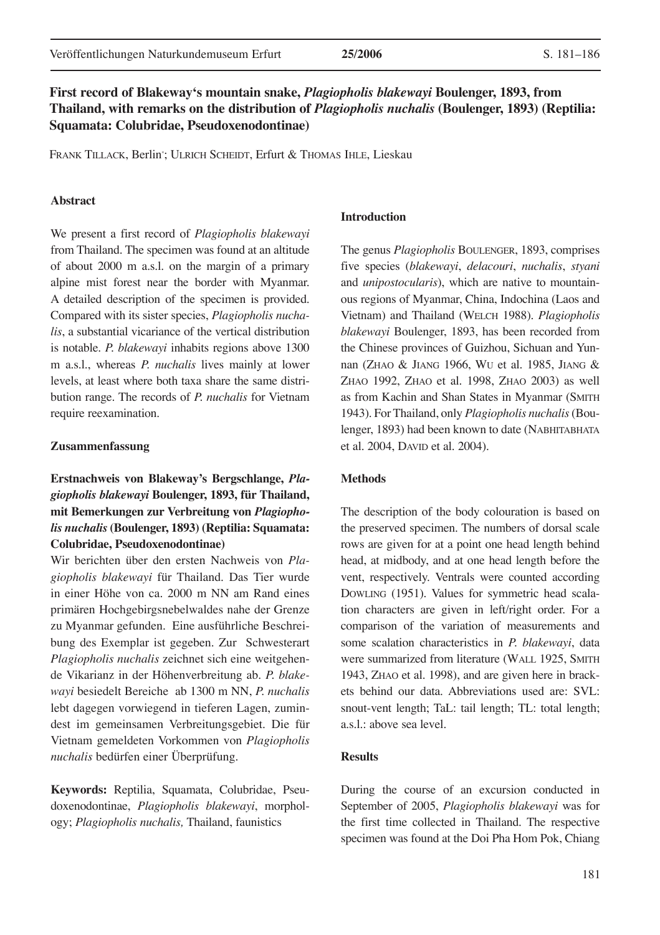# **First record of Blakeway's mountain snake,** *Plagiopholis blakewayi* **Boulenger, 1893, from Thailand, with remarks on the distribution of** *Plagiopholis nuchalis* **(Boulenger, 1893) (Reptilia: Squamata: Colubridae, Pseudoxenodontinae)**

FRANK TILLACK, Berlin\* ; ULRICH SCHEIDT, Erfurt & THOMAS IHLE, Lieskau

## **Abstract**

We present a first record of *Plagiopholis blakewayi*  from Thailand. The specimen was found at an altitude of about 2000 m a.s.l. on the margin of a primary alpine mist forest near the border with Myanmar. A detailed description of the specimen is provided. Compared with its sister species, *Plagiopholis nuchalis*, a substantial vicariance of the vertical distribution is notable. *P. blakewayi* inhabits regions above 1300 m a.s.l., whereas *P. nuchalis* lives mainly at lower levels, at least where both taxa share the same distribution range. The records of *P. nuchalis* for Vietnam require reexamination.

#### **Zusammenfassung**

# **Erstnachweis von Blakeway's Bergschlange,** *Plagiopholis blakewayi* **Boulenger, 1893, für Thailand, mit Bemerkungen zur Verbreitung von** *Plagiopholis nuchalis* **(Boulenger, 1893) (Reptilia: Squamata: Colubridae, Pseudoxenodontinae)**

Wir berichten über den ersten Nachweis von *Plagiopholis blakewayi* für Thailand. Das Tier wurde in einer Höhe von ca. 2000 m NN am Rand eines primären Hochgebirgsnebelwaldes nahe der Grenze zu Myanmar gefunden. Eine ausführliche Beschreibung des Exemplar ist gegeben. Zur Schwesterart *Plagiopholis nuchalis* zeichnet sich eine weitgehende Vikarianz in der Höhenverbreitung ab. *P. blakewayi* besiedelt Bereiche ab 1300 m NN, *P. nuchalis* lebt dagegen vorwiegend in tieferen Lagen, zumindest im gemeinsamen Verbreitungsgebiet. Die für Vietnam gemeldeten Vorkommen von *Plagiopholis nuchalis* bedürfen einer Überprüfung.

**Keywords:** Reptilia, Squamata, Colubridae, Pseudoxenodontinae, *Plagiopholis blakewayi*, morphology; *Plagiopholis nuchalis,* Thailand, faunistics

## **Introduction**

The genus *Plagiopholis* BOULENGER, 1893, comprises five species (*blakewayi*, *delacouri*, *nuchalis*, *styani* and *unipostocularis*), which are native to mountainous regions of Myanmar, China, Indochina (Laos and Vietnam) and Thailand (WELCH 1988). *Plagiopholis blakewayi* Boulenger, 1893, has been recorded from the Chinese provinces of Guizhou, Sichuan and Yunnan (ZHAO & JIANG 1966, WU et al. 1985, JIANG & ZHAO 1992, ZHAO et al. 1998, ZHAO 2003) as well as from Kachin and Shan States in Myanmar (SMITH 1943). For Thailand, only *Plagiopholis nuchalis* (Boulenger, 1893) had been known to date (NABHITABHATA et al. 2004, DAVID et al. 2004).

#### **Methods**

The description of the body colouration is based on the preserved specimen. The numbers of dorsal scale rows are given for at a point one head length behind head, at midbody, and at one head length before the vent, respectively. Ventrals were counted according DOWLING (1951). Values for symmetric head scalation characters are given in left/right order. For a comparison of the variation of measurements and some scalation characteristics in *P. blakewayi*, data were summarized from literature (WALL 1925, SMITH 1943, ZHAO et al. 1998), and are given here in brackets behind our data. Abbreviations used are: SVL: snout-vent length; TaL: tail length; TL: total length; a.s.l.: above sea level.

## **Results**

During the course of an excursion conducted in September of 2005, *Plagiopholis blakewayi* was for the first time collected in Thailand. The respective specimen was found at the Doi Pha Hom Pok, Chiang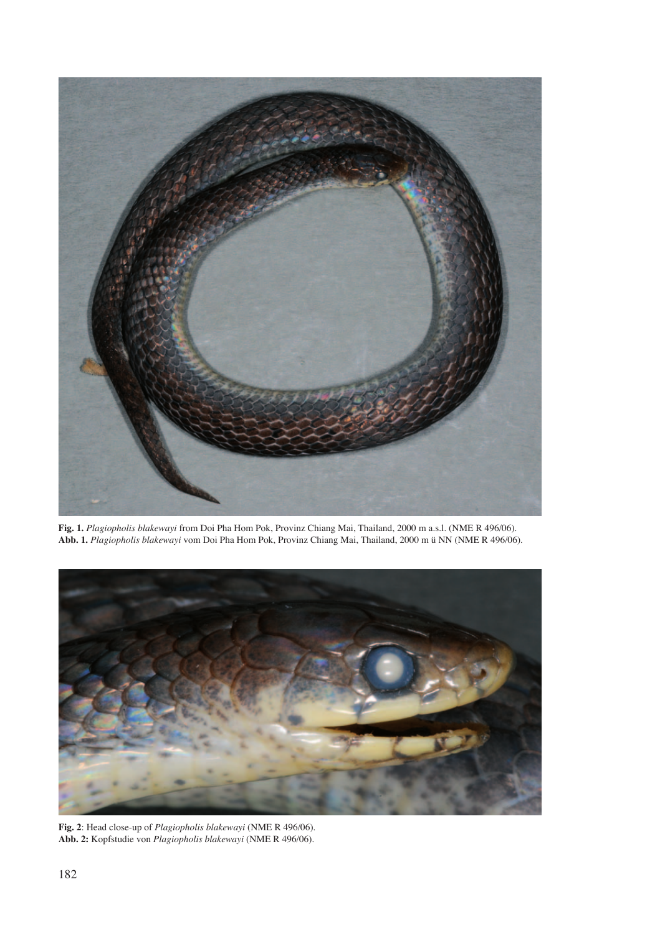

**Fig. 1.** *Plagiopholis blakewayi* from Doi Pha Hom Pok, Provinz Chiang Mai, Thailand, 2000 m a.s.l. (NME R 496/06). **Abb. 1.** *Plagiopholis blakewayi* vom Doi Pha Hom Pok, Provinz Chiang Mai, Thailand, 2000 m ü NN (NME R 496/06).



**Fig. 2**: Head close-up of *Plagiopholis blakewayi* (NME R 496/06). **Abb. 2:** Kopfstudie von *Plagiopholis blakewayi* (NME R 496/06).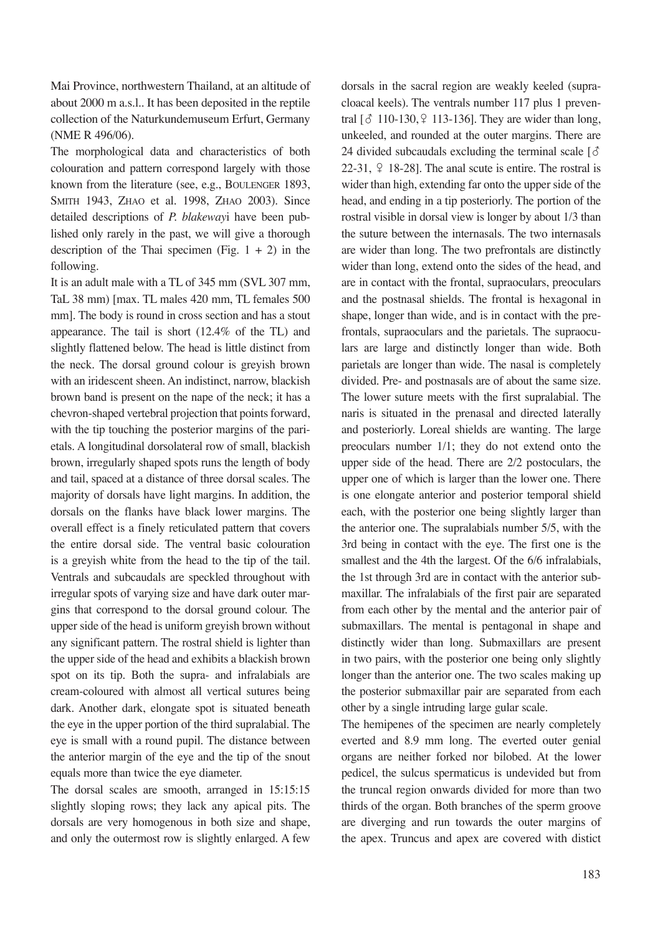Mai Province, northwestern Thailand, at an altitude of about 2000 m a.s.l.. It has been deposited in the reptile collection of the Naturkundemuseum Erfurt, Germany (NME R 496/06).

The morphological data and characteristics of both colouration and pattern correspond largely with those known from the literature (see, e.g., BOULENGER 1893, SMITH 1943, ZHAO et al. 1998, ZHAO 2003). Since detailed descriptions of *P. blakeway*i have been published only rarely in the past, we will give a thorough description of the Thai specimen (Fig.  $1 + 2$ ) in the following.

It is an adult male with a TL of 345 mm (SVL 307 mm, TaL 38 mm) [max. TL males 420 mm, TL females 500 mm]. The body is round in cross section and has a stout appearance. The tail is short (12.4% of the TL) and slightly flattened below. The head is little distinct from the neck. The dorsal ground colour is greyish brown with an iridescent sheen. An indistinct, narrow, blackish brown band is present on the nape of the neck; it has a chevron-shaped vertebral projection that points forward, with the tip touching the posterior margins of the parietals. A longitudinal dorsolateral row of small, blackish brown, irregularly shaped spots runs the length of body and tail, spaced at a distance of three dorsal scales. The majority of dorsals have light margins. In addition, the dorsals on the flanks have black lower margins. The overall effect is a finely reticulated pattern that covers the entire dorsal side. The ventral basic colouration is a greyish white from the head to the tip of the tail. Ventrals and subcaudals are speckled throughout with irregular spots of varying size and have dark outer margins that correspond to the dorsal ground colour. The upper side of the head is uniform greyish brown without any significant pattern. The rostral shield is lighter than the upper side of the head and exhibits a blackish brown spot on its tip. Both the supra- and infralabials are cream-coloured with almost all vertical sutures being dark. Another dark, elongate spot is situated beneath the eye in the upper portion of the third supralabial. The eye is small with a round pupil. The distance between the anterior margin of the eye and the tip of the snout equals more than twice the eye diameter.

The dorsal scales are smooth, arranged in 15:15:15 slightly sloping rows; they lack any apical pits. The dorsals are very homogenous in both size and shape, and only the outermost row is slightly enlarged. A few dorsals in the sacral region are weakly keeled (supracloacal keels). The ventrals number 117 plus 1 preventral  $\lbrack 6 \rbrack$  110-130,  $\lbrack 2 \rbrack$  113-136]. They are wider than long, unkeeled, and rounded at the outer margins. There are 24 divided subcaudals excluding the terminal scale  $\lceil \delta \rceil$ 22-31,  $\varphi$  18-28]. The anal scute is entire. The rostral is wider than high, extending far onto the upper side of the head, and ending in a tip posteriorly. The portion of the rostral visible in dorsal view is longer by about 1/3 than the suture between the internasals. The two internasals are wider than long. The two prefrontals are distinctly wider than long, extend onto the sides of the head, and are in contact with the frontal, supraoculars, preoculars and the postnasal shields. The frontal is hexagonal in shape, longer than wide, and is in contact with the prefrontals, supraoculars and the parietals. The supraoculars are large and distinctly longer than wide. Both parietals are longer than wide. The nasal is completely divided. Pre- and postnasals are of about the same size. The lower suture meets with the first supralabial. The naris is situated in the prenasal and directed laterally and posteriorly. Loreal shields are wanting. The large preoculars number 1/1; they do not extend onto the upper side of the head. There are 2/2 postoculars, the upper one of which is larger than the lower one. There is one elongate anterior and posterior temporal shield each, with the posterior one being slightly larger than the anterior one. The supralabials number 5/5, with the 3rd being in contact with the eye. The first one is the smallest and the 4th the largest. Of the 6/6 infralabials, the 1st through 3rd are in contact with the anterior submaxillar. The infralabials of the first pair are separated from each other by the mental and the anterior pair of submaxillars. The mental is pentagonal in shape and distinctly wider than long. Submaxillars are present in two pairs, with the posterior one being only slightly longer than the anterior one. The two scales making up the posterior submaxillar pair are separated from each other by a single intruding large gular scale.

The hemipenes of the specimen are nearly completely everted and 8.9 mm long. The everted outer genial organs are neither forked nor bilobed. At the lower pedicel, the sulcus spermaticus is undevided but from the truncal region onwards divided for more than two thirds of the organ. Both branches of the sperm groove are diverging and run towards the outer margins of the apex. Truncus and apex are covered with distict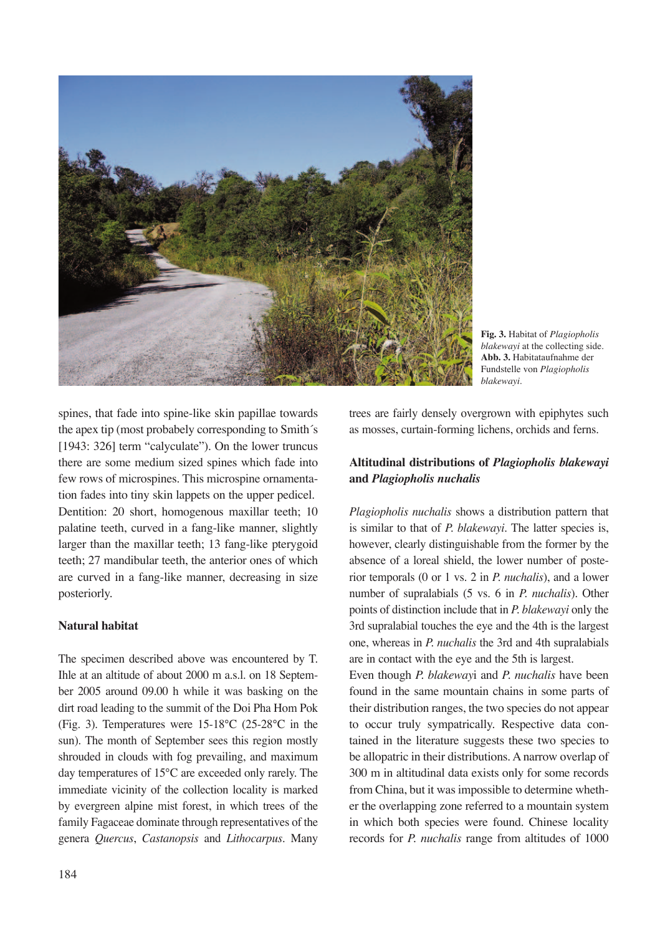

**Fig. 3.** Habitat of *Plagiopholis blakewayi* at the collecting side. **Abb. 3.** Habitataufnahme der Fundstelle von *Plagiopholis blakewayi*.

spines, that fade into spine-like skin papillae towards the apex tip (most probabely corresponding to Smith´s [1943: 326] term "calyculate"). On the lower truncus there are some medium sized spines which fade into few rows of microspines. This microspine ornamentation fades into tiny skin lappets on the upper pedicel. Dentition: 20 short, homogenous maxillar teeth; 10 palatine teeth, curved in a fang-like manner, slightly larger than the maxillar teeth; 13 fang-like pterygoid teeth; 27 mandibular teeth, the anterior ones of which are curved in a fang-like manner, decreasing in size posteriorly.

## **Natural habitat**

The specimen described above was encountered by T. Ihle at an altitude of about 2000 m a.s.l. on 18 September 2005 around 09.00 h while it was basking on the dirt road leading to the summit of the Doi Pha Hom Pok (Fig. 3). Temperatures were 15-18°C (25-28°C in the sun). The month of September sees this region mostly shrouded in clouds with fog prevailing, and maximum day temperatures of 15°C are exceeded only rarely. The immediate vicinity of the collection locality is marked by evergreen alpine mist forest, in which trees of the family Fagaceae dominate through representatives of the genera *Quercus*, *Castanopsis* and *Lithocarpus*. Many

trees are fairly densely overgrown with epiphytes such as mosses, curtain-forming lichens, orchids and ferns.

# **Altitudinal distributions of** *Plagiopholis blakewayi*  **and** *Plagiopholis nuchalis*

*Plagiopholis nuchalis* shows a distribution pattern that is similar to that of *P. blakewayi*. The latter species is, however, clearly distinguishable from the former by the absence of a loreal shield, the lower number of posterior temporals (0 or 1 vs. 2 in *P. nuchalis*), and a lower number of supralabials (5 vs. 6 in *P. nuchalis*). Other points of distinction include that in *P. blakewayi* only the 3rd supralabial touches the eye and the 4th is the largest one, whereas in *P. nuchalis* the 3rd and 4th supralabials are in contact with the eye and the 5th is largest.

Even though *P. blakeway*i and *P. nuchalis* have been found in the same mountain chains in some parts of their distribution ranges, the two species do not appear to occur truly sympatrically. Respective data contained in the literature suggests these two species to be allopatric in their distributions. A narrow overlap of 300 m in altitudinal data exists only for some records from China, but it was impossible to determine whether the overlapping zone referred to a mountain system in which both species were found. Chinese locality records for *P. nuchalis* range from altitudes of 1000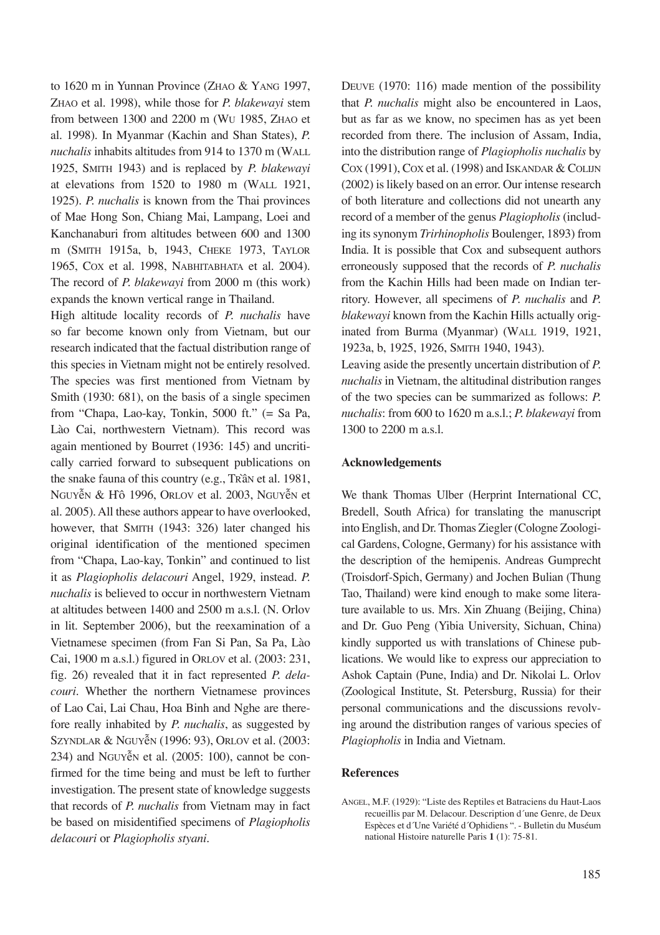to 1620 m in Yunnan Province (ZHAO & YANG 1997, ZHAO et al. 1998), while those for *P. blakewayi* stem from between 1300 and 2200 m (WU 1985, ZHAO et al. 1998). In Myanmar (Kachin and Shan States), *P. nuchalis* inhabits altitudes from 914 to 1370 m (WALL 1925, SMITH 1943) and is replaced by *P. blakewayi* at elevations from 1520 to 1980 m (WALL 1921, 1925). *P. nuchalis* is known from the Thai provinces of Mae Hong Son, Chiang Mai, Lampang, Loei and Kanchanaburi from altitudes between 600 and 1300 m (SMITH 1915a, b, 1943, CHEKE 1973, TAYLOR 1965, COX et al. 1998, NABHITABHATA et al. 2004). The record of *P. blakewayi* from 2000 m (this work) expands the known vertical range in Thailand.

High altitude locality records of *P. nuchalis* have so far become known only from Vietnam, but our research indicated that the factual distribution range of this species in Vietnam might not be entirely resolved. The species was first mentioned from Vietnam by Smith (1930: 681), on the basis of a single specimen from "Chapa, Lao-kay, Tonkin, 5000 ft." (= Sa Pa, Lào Cai, northwestern Vietnam). This record was again mentioned by Bourret (1936: 145) and uncritically carried forward to subsequent publications on the snake fauna of this country (e.g., TRầN et al. 1981, NGUYễN & Hồ 1996, ORLOV et al. 2003, NGUYễN et al. 2005). All these authors appear to have overlooked, however, that SMITH (1943: 326) later changed his original identification of the mentioned specimen from "Chapa, Lao-kay, Tonkin" and continued to list it as *Plagiopholis delacouri* Angel, 1929, instead. *P. nuchalis* is believed to occur in northwestern Vietnam at altitudes between 1400 and 2500 m a.s.l. (N. Orlov in lit. September 2006), but the reexamination of a Vietnamese specimen (from Fan Si Pan, Sa Pa, Lào Cai, 1900 m a.s.l.) figured in ORLOV et al. (2003: 231, fig. 26) revealed that it in fact represented *P. delacouri*. Whether the northern Vietnamese provinces of Lao Cai, Lai Chau, Hoa Binh and Nghe are therefore really inhabited by *P. nuchalis*, as suggested by SZYNDLAR & NGUYễN (1996: 93), ORLOV et al. (2003: 234) and NGUYễN et al. (2005: 100), cannot be confirmed for the time being and must be left to further investigation. The present state of knowledge suggests that records of *P. nuchalis* from Vietnam may in fact be based on misidentified specimens of *Plagiopholis delacouri* or *Plagiopholis styani*.

DEUVE (1970: 116) made mention of the possibility that *P. nuchalis* might also be encountered in Laos, but as far as we know, no specimen has as yet been recorded from there. The inclusion of Assam, India, into the distribution range of *Plagiopholis nuchalis* by COX (1991), COX et al. (1998) and ISKANDAR & COLIJN (2002) is likely based on an error. Our intense research of both literature and collections did not unearth any record of a member of the genus *Plagiopholis* (including its synonym *Trirhinopholis* Boulenger, 1893) from India. It is possible that Cox and subsequent authors erroneously supposed that the records of *P. nuchalis* from the Kachin Hills had been made on Indian territory. However, all specimens of *P. nuchalis* and *P. blakewayi* known from the Kachin Hills actually originated from Burma (Myanmar) (WALL 1919, 1921, 1923a, b, 1925, 1926, SMITH 1940, 1943).

Leaving aside the presently uncertain distribution of *P. nuchalis* in Vietnam, the altitudinal distribution ranges of the two species can be summarized as follows: *P. nuchalis*: from 600 to 1620 m a.s.l.; *P. blakewayi* from 1300 to 2200 m a.s.l.

### **Acknowledgements**

We thank Thomas Ulber (Herprint International CC, Bredell, South Africa) for translating the manuscript into English, and Dr. Thomas Ziegler (Cologne Zoological Gardens, Cologne, Germany) for his assistance with the description of the hemipenis. Andreas Gumprecht (Troisdorf-Spich, Germany) and Jochen Bulian (Thung Tao, Thailand) were kind enough to make some literature available to us. Mrs. Xin Zhuang (Beijing, China) and Dr. Guo Peng (Yibia University, Sichuan, China) kindly supported us with translations of Chinese publications. We would like to express our appreciation to Ashok Captain (Pune, India) and Dr. Nikolai L. Orlov (Zoological Institute, St. Petersburg, Russia) for their personal communications and the discussions revolving around the distribution ranges of various species of *Plagiopholis* in India and Vietnam.

### **References**

ANGEL, M.F. (1929): "Liste des Reptiles et Batraciens du Haut-Laos recueillis par M. Delacour. Description d´une Genre, de Deux Espèces et d´Une Variété d´Ophidiens ". - Bulletin du Muséum national Histoire naturelle Paris **1** (1): 75-81.